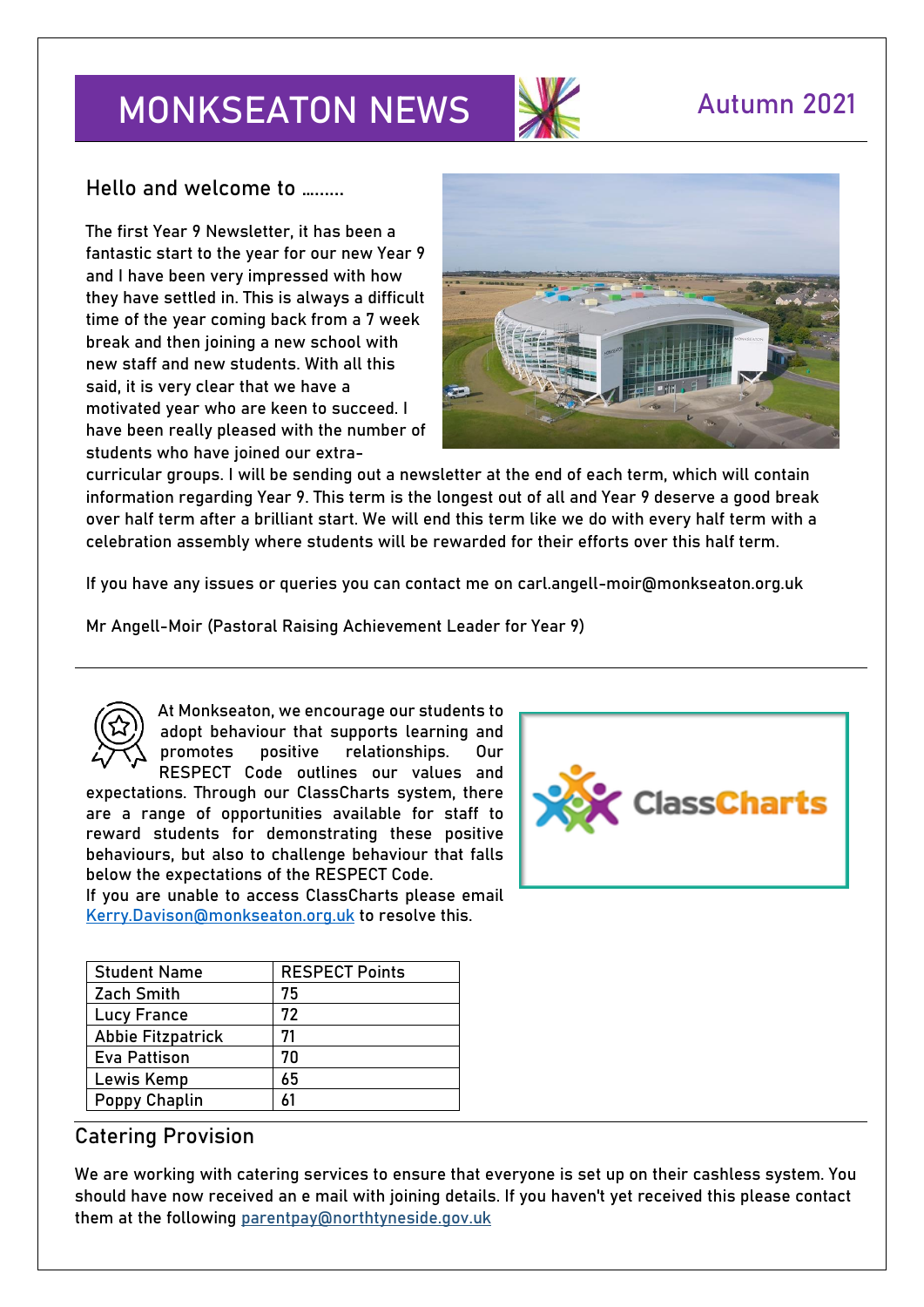# **MONKSEATON NEWS AUTUMN 2021**



**Hello and welcome to …......**

The first Year 9 Newsletter, it has been a fantastic start to the year for our new Year 9 and I have been very impressed with how they have settled in. This is always a difficult time of the year coming back from a 7 week break and then joining a new school with new staff and new students. With all this said, it is very clear that we have a motivated year who are keen to succeed. I have been really pleased with the number of students who have joined our extra-



curricular groups. I will be sending out a newsletter at the end of each term, which will contain information regarding Year 9. This term is the longest out of all and Year 9 deserve a good break over half term after a brilliant start. We will end this term like we do with every half term with a celebration assembly where students will be rewarded for their efforts over this half term.

If you have any issues or queries you can contact me on carl.angell-moir@monkseaton.org.uk

**Mr Angell-Moir (Pastoral Raising Achievement Leader for Year 9)** 



At Monkseaton, we encourage our students to adopt behaviour that supports learning and promotes positive relationships. Our RESPECT Code outlines our values and expectations. Through our ClassCharts system, there

are a range of opportunities available for staff to reward students for demonstrating these positive behaviours, but also to challenge behaviour that falls below the expectations of the RESPECT Code.

If you are unable to access ClassCharts please email [Kerry.Davison@monkseaton.org.uk](mailto:Kerry.Davison@monkseaton.org.uk) to resolve this.

| <b>Student Name</b>      | <b>RESPECT Points</b> |
|--------------------------|-----------------------|
| Zach Smith               | 75                    |
| <b>Lucy France</b>       | 72                    |
| <b>Abbie Fitzpatrick</b> | 71                    |
| Eva Pattison             | 70                    |
| Lewis Kemp               | 65                    |
| <b>Poppy Chaplin</b>     | 61                    |

#### **Catering Provision**

We are working with catering services to ensure that everyone is set up on their cashless system. You should have now received an e mail with joining details. If you haven't yet received this please contact them at the following [parentpay@northtyneside.gov.uk](mailto:parentpay@northtyneside.gov.uk)

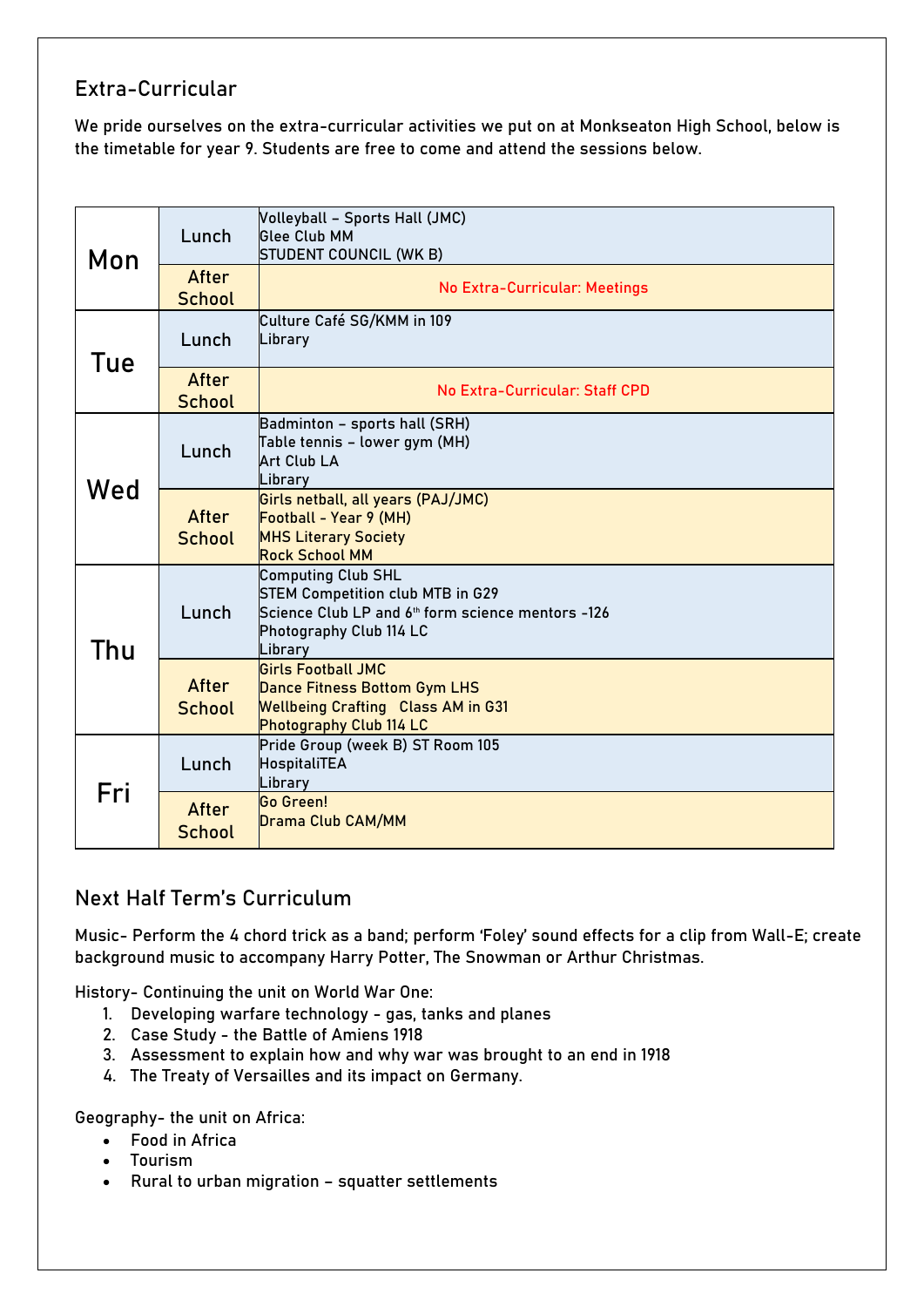#### **Extra-Curricular**

We pride ourselves on the extra-curricular activities we put on at Monkseaton High School, below is the timetable for year 9. Students are free to come and attend the sessions below.

| Mon | Lunch                  | Volleyball - Sports Hall (JMC)<br><b>Glee Club MM</b><br>STUDENT COUNCIL (WK B)                                                                                 |
|-----|------------------------|-----------------------------------------------------------------------------------------------------------------------------------------------------------------|
|     | After<br><b>School</b> | <b>No Extra-Curricular: Meetings</b>                                                                                                                            |
| Tue | Lunch                  | Culture Café SG/KMM in 109<br>Library                                                                                                                           |
|     | After<br><b>School</b> | No Extra-Curricular: Staff CPD                                                                                                                                  |
| Wed | Lunch                  | Badminton - sports hall (SRH)<br>Table tennis - lower gym (MH)<br><b>Art Club LA</b><br>Library                                                                 |
|     | After<br><b>School</b> | Girls netball, all years (PAJ/JMC)<br>Football - Year 9 (MH)<br><b>MHS Literary Society</b><br><b>Rock School MM</b>                                            |
| Thu | Lunch                  | <b>Computing Club SHL</b><br><b>STEM Competition club MTB in G29</b><br>Science Club LP and 6th form science mentors -126<br>Photography Club 114 LC<br>Library |
|     | After<br><b>School</b> | <b>Girls Football JMC</b><br><b>Dance Fitness Bottom Gym LHS</b><br><b>Wellbeing Crafting Class AM in G31</b><br><b>Photography Club 114 LC</b>                 |
| Fri | Lunch                  | Pride Group (week B) ST Room 105<br>HospitaliTEA<br>Library                                                                                                     |
|     | After<br><b>School</b> | <b>Go Green!</b><br><b>Drama Club CAM/MM</b>                                                                                                                    |

### **Next Half Term's Curriculum**

**Music**- Perform the 4 chord trick as a band; perform 'Foley' sound effects for a clip from Wall-E; create background music to accompany Harry Potter, The Snowman or Arthur Christmas.

**History-** Continuing the unit on World War One:

- 1. Developing warfare technology gas, tanks and planes
- 2. Case Study the Battle of Amiens 1918
- 3. Assessment to explain how and why war was brought to an end in 1918
- 4. The Treaty of Versailles and its impact on Germany.

**Geography-** the unit on Africa:

- Food in Africa
- Tourism
- Rural to urban migration squatter settlements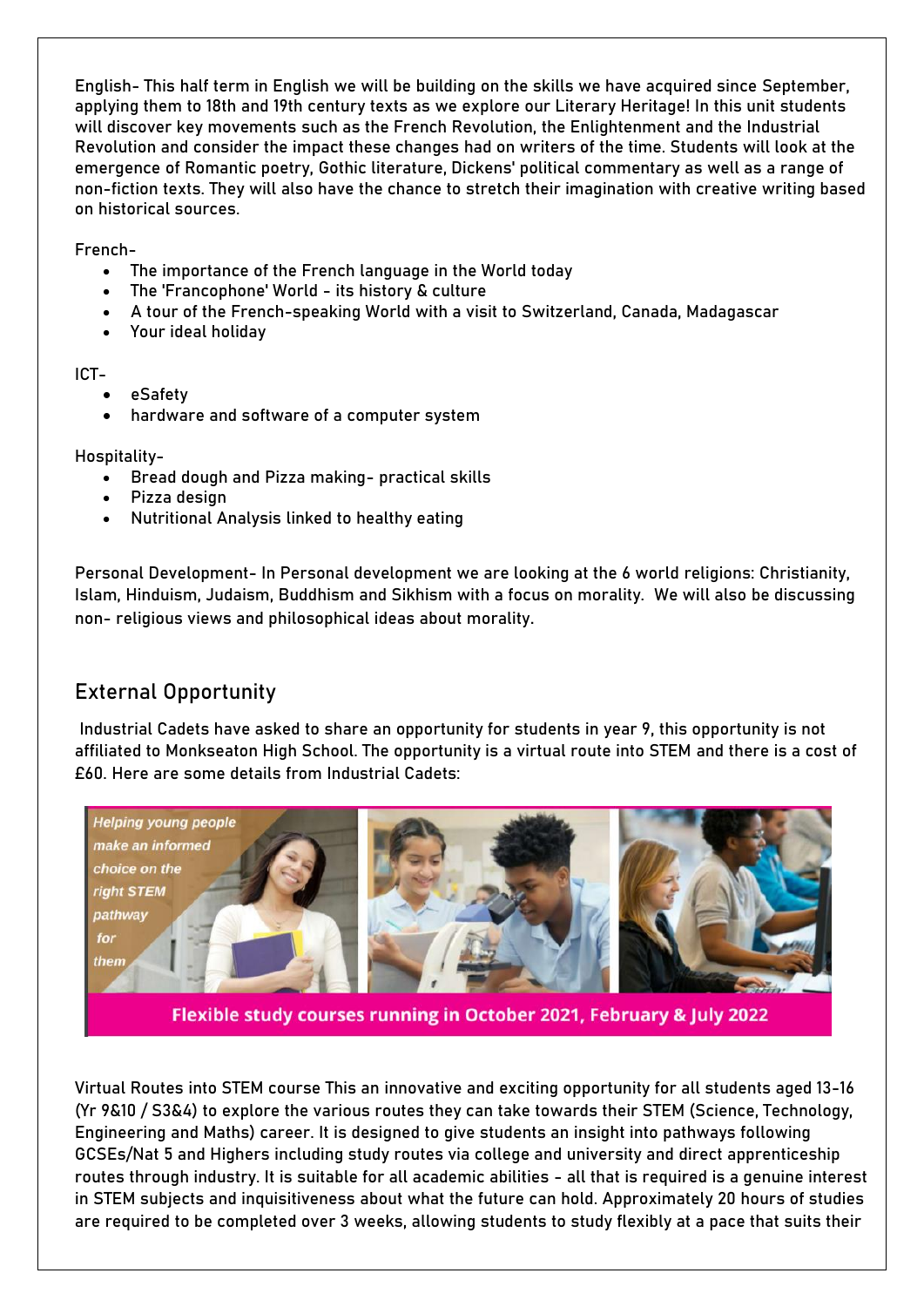**English-** This half term in English we will be building on the skills we have acquired since September, applying them to 18th and 19th century texts as we explore our Literary Heritage! In this unit students will discover key movements such as the French Revolution, the Enlightenment and the Industrial Revolution and consider the impact these changes had on writers of the time. Students will look at the emergence of Romantic poetry, Gothic literature, Dickens' political commentary as well as a range of non-fiction texts. They will also have the chance to stretch their imagination with creative writing based on historical sources.

**French-**

- The importance of the French language in the World today
- The 'Francophone' World its history & culture
- A tour of the French-speaking World with a visit to Switzerland, Canada, Madagascar
- Your ideal holiday

**ICT-**

- eSafety
- hardware and software of a computer system

**Hospitality-**

- Bread dough and Pizza making- practical skills
- Pizza design
- Nutritional Analysis linked to healthy eating

**Personal Development-** In Personal development we are looking at the 6 world religions: Christianity, Islam, Hinduism, Judaism, Buddhism and Sikhism with a focus on morality. We will also be discussing non- religious views and philosophical ideas about morality.

#### **External Opportunity**

Industrial Cadets have asked to share an opportunity for students in year 9, this opportunity is not affiliated to Monkseaton High School. The opportunity is a virtual route into STEM and there is a cost of £60. Here are some details from Industrial Cadets:



Flexible study courses running in October 2021, February & July 2022

Virtual Routes into STEM course This an innovative and exciting opportunity for all students aged 13-16 (Yr 9&10 / S3&4) to explore the various routes they can take towards their STEM (Science, Technology, Engineering and Maths) career. It is designed to give students an insight into pathways following GCSEs/Nat 5 and Highers including study routes via college and university and direct apprenticeship routes through industry. It is suitable for all academic abilities - all that is required is a genuine interest in STEM subjects and inquisitiveness about what the future can hold. Approximately 20 hours of studies are required to be completed over 3 weeks, allowing students to study flexibly at a pace that suits their